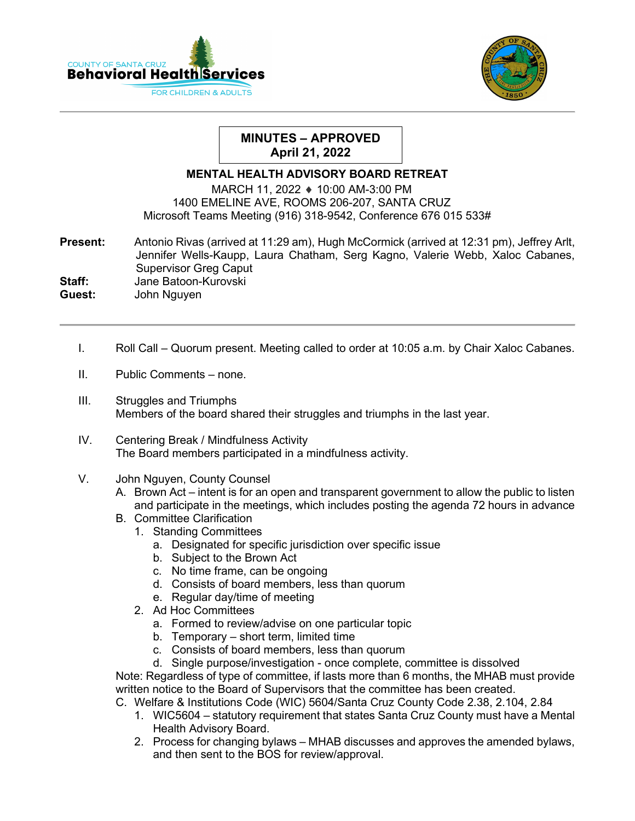



## **MINUTES – APPROVED April 21, 2022**

## **MENTAL HEALTH ADVISORY BOARD RETREAT**

MARCH 11, 2022 ♦ 10:00 AM-3:00 PM 1400 EMELINE AVE, ROOMS 206-207, SANTA CRUZ Microsoft Teams Meeting (916) 318-9542, Conference 676 015 533#

**Present:** Antonio Rivas (arrived at 11:29 am), Hugh McCormick (arrived at 12:31 pm), Jeffrey Arlt,Jennifer Wells-Kaupp, Laura Chatham, Serg Kagno, Valerie Webb, Xaloc Cabanes, Supervisor Greg Caput

**Staff:** Jane Batoon-Kurovski<br> **Guest:** John Nguven **Guest:** John Nguyen

- I. Roll Call Quorum present. Meeting called to order at 10:05 a.m. by Chair Xaloc Cabanes.
- II. Public Comments none.
- III. Struggles and Triumphs Members of the board shared their struggles and triumphs in the last year.
- IV. Centering Break / Mindfulness Activity The Board members participated in a mindfulness activity.
- V. John Nguyen, County Counsel
	- A. Brown Act intent is for an open and transparent government to allow the public to listen and participate in the meetings, which includes posting the agenda 72 hours in advance
	- B. Committee Clarification
		- 1. Standing Committees
			- a. Designated for specific jurisdiction over specific issue
			- b. Subject to the Brown Act
			- c. No time frame, can be ongoing
			- d. Consists of board members, less than quorum
			- e. Regular day/time of meeting
		- 2. Ad Hoc Committees
			- a. Formed to review/advise on one particular topic
			- b. Temporary short term, limited time
			- c. Consists of board members, less than quorum
			- d. Single purpose/investigation once complete, committee is dissolved

Note: Regardless of type of committee, if lasts more than 6 months, the MHAB must provide written notice to the Board of Supervisors that the committee has been created.

- C. Welfare & Institutions Code (WIC) 5604/Santa Cruz County Code 2.38, 2.104, 2.84
	- 1. WIC5604 statutory requirement that states Santa Cruz County must have a Mental Health Advisory Board.
	- 2. Process for changing bylaws MHAB discusses and approves the amended bylaws, and then sent to the BOS for review/approval.